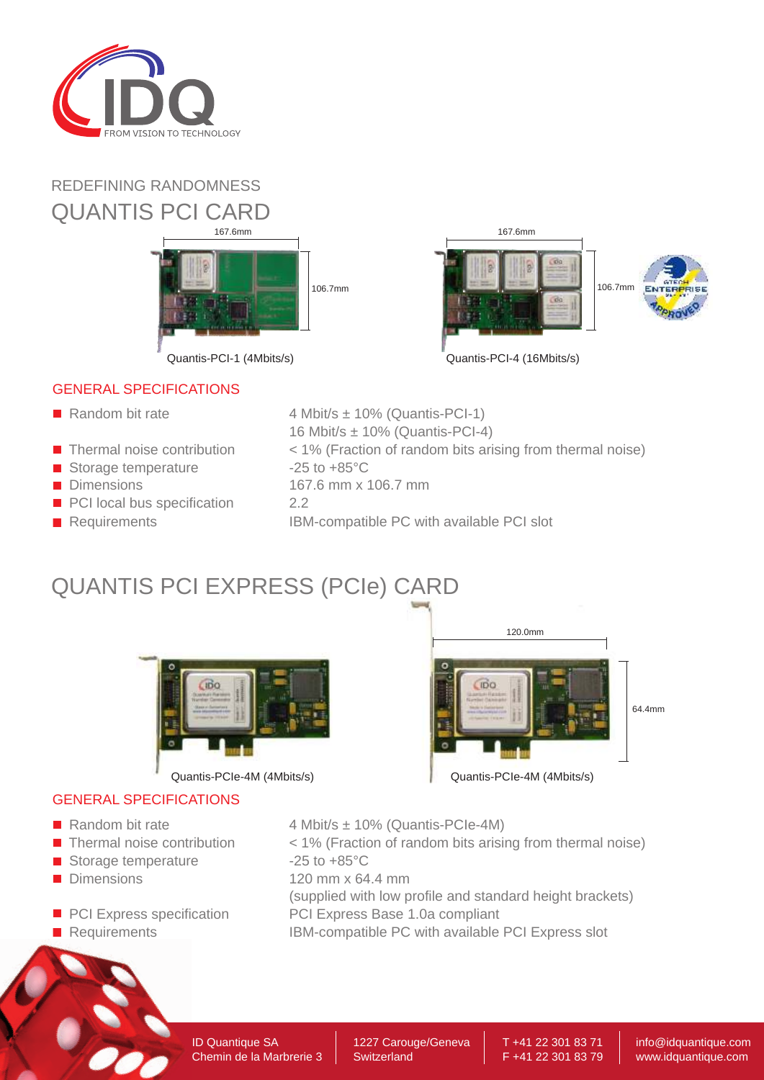

### REDEFINING RANDOMNESS QUANTIS PCI CARD





### GENERAL SPECIFICATIONS

- Random bit rate
- $\blacksquare$  Thermal noise contribution
- Storage temperature
- **Dimensions**
- PCI local bus specification
- **Requirements**
- 4 Mbit/s ± 10% (Quantis-PCI-1) 16 Mbit/s ± 10% (Quantis-PCI-4)
- < 1% (Fraction of random bits arising from thermal noise)
- $-25$  to  $+85^{\circ}$ C
	- 167.6 mm x 106.7 mm
	- 2.2
		- IBM-compatible PC with available PCI slot

# QUANTIS PCI EXPRESS (PCIe) CARD



### GENERAL SPECIFICATIONS

- 
- **Thermal noise contribution**
- Storage temperature
- **Dimensions**
- **PCI Express specification**
- **Requirements**

# $\overline{m}$ c 64.4mm Quantis-PCIe-4M (4Mbits/s) Quantis-PCIe-4M (4Mbits/s)

120.0mm

- Random bit rate  $4$  Mbit/s  $\pm$  10% (Quantis-PCIe-4M)
	- < 1% (Fraction of random bits arising from thermal noise)  $-25$  to  $+85^{\circ}$ C
	- 120 mm x 64.4 mm
	- (supplied with low profile and standard height brackets)
	- PCI Express Base 1.0a compliant
	- IBM-compatible PC with available PCI Express slot

T +41 22 301 83 71 F +41 22 301 83 79